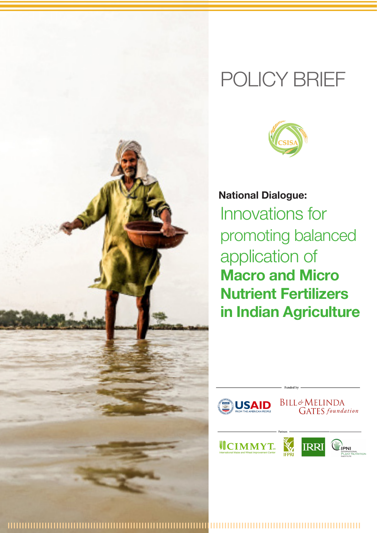

# POLICY BRIEF



**National Dialogue:** Innovations for promoting balanced application of **Macro and Micro Nutrient Fertilizers in Indian Agriculture**



|||||||||||||||||||||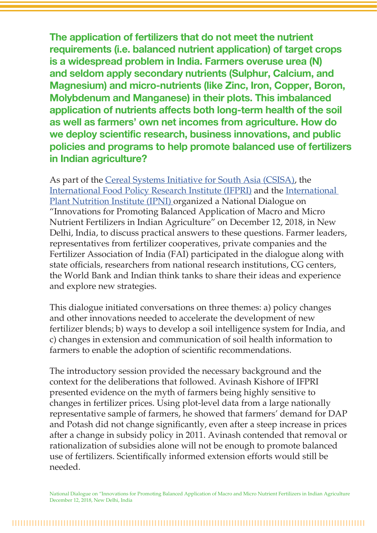**The application of fertilizers that do not meet the nutrient requirements (i.e. balanced nutrient application) of target crops is a widespread problem in India. Farmers overuse urea (N) and seldom apply secondary nutrients (Sulphur, Calcium, and Magnesium) and micro-nutrients (like Zinc, Iron, Copper, Boron, Molybdenum and Manganese) in their plots. This imbalanced application of nutrients affects both long-term health of the soil as well as farmers' own net incomes from agriculture. How do we deploy scientific research, business innovations, and public policies and programs to help promote balanced use of fertilizers in Indian agriculture?** 

As part of the Cereal Systems Initiative for South Asia (CSISA), the International Food Policy Research Institute (IFPRI) and the International Plant Nutrition Institute (IPNI) organized a National Dialogue on "Innovations for Promoting Balanced Application of Macro and Micro Nutrient Fertilizers in Indian Agriculture" on December 12, 2018, in New Delhi, India, to discuss practical answers to these questions. Farmer leaders, representatives from fertilizer cooperatives, private companies and the Fertilizer Association of India (FAI) participated in the dialogue along with state officials, researchers from national research institutions, CG centers, the World Bank and Indian think tanks to share their ideas and experience and explore new strategies.

This dialogue initiated conversations on three themes: a) policy changes and other innovations needed to accelerate the development of new fertilizer blends; b) ways to develop a soil intelligence system for India, and c) changes in extension and communication of soil health information to farmers to enable the adoption of scientific recommendations.

The introductory session provided the necessary background and the context for the deliberations that followed. Avinash Kishore of IFPRI presented evidence on the myth of farmers being highly sensitive to changes in fertilizer prices. Using plot-level data from a large nationally representative sample of farmers, he showed that farmers' demand for DAP and Potash did not change significantly, even after a steep increase in prices after a change in subsidy policy in 2011. Avinash contended that removal or rationalization of subsidies alone will not be enough to promote balanced use of fertilizers. Scientifically informed extension efforts would still be needed.

National Dialogue on "Innovations for Promoting Balanced Application of Macro and Micro Nutrient Fertilizers in Indian Agriculture December 12, 2018, New Delhi, India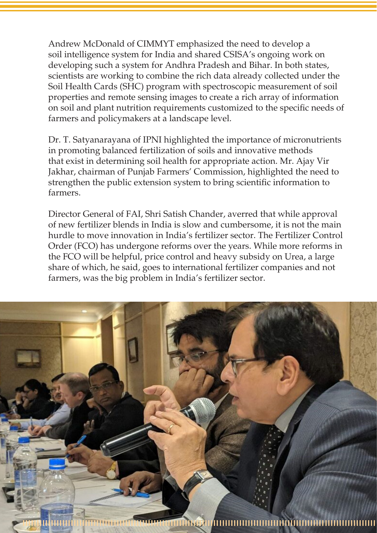Andrew McDonald of CIMMYT emphasized the need to develop a soil intelligence system for India and shared CSISA's ongoing work on developing such a system for Andhra Pradesh and Bihar. In both states, scientists are working to combine the rich data already collected under the Soil Health Cards (SHC) program with spectroscopic measurement of soil properties and remote sensing images to create a rich array of information on soil and plant nutrition requirements customized to the specific needs of farmers and policymakers at a landscape level.

Dr. T. Satyanarayana of IPNI highlighted the importance of micronutrients in promoting balanced fertilization of soils and innovative methods that exist in determining soil health for appropriate action. Mr. Ajay Vir Jakhar, chairman of Punjab Farmers' Commission, highlighted the need to strengthen the public extension system to bring scientific information to farmers.

Director General of FAI, Shri Satish Chander, averred that while approval of new fertilizer blends in India is slow and cumbersome, it is not the main hurdle to move innovation in India's fertilizer sector. The Fertilizer Control Order (FCO) has undergone reforms over the years. While more reforms in the FCO will be helpful, price control and heavy subsidy on Urea, a large share of which, he said, goes to international fertilizer companies and not farmers, was the big problem in India's fertilizer sector.

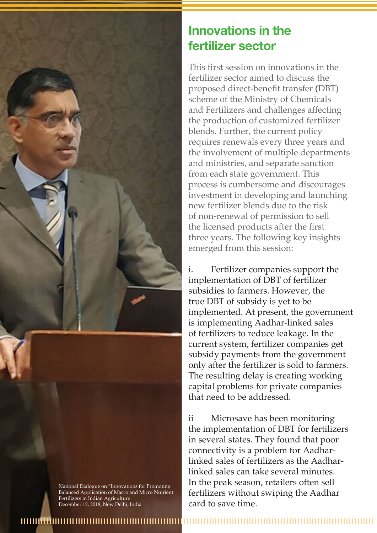

National Dialogue on "Innovations for Promoting Balanced Application of Macro and Micro Nutrient Fertilizers in Indian Agriculture December 12, 2018, New Delhi, India

## **Innovations in the fertilizer sector**

This first session on innovations in the fertilizer sector aimed to discuss the proposed direct-benefit transfer (DBT) scheme of the Ministry of Chemicals and Fertilizers and challenges affecting the production of customized fertilizer blends. Further, the current policy requires renewals every three years and the involvement of multiple departments and ministries, and separate sanction from each state government. This process is cumbersome and discourages investment in developing and launching new fertilizer blends due to the risk of non-renewal of permission to sell the licensed products after the first three years. The following key insights emerged from this session:

Fertilizer companies support the implementation of DBT of fertilizer subsidies to farmers. However, the true DBT of subsidy is yet to be implemented. At present, the government is implementing Aadhar-linked sales of fertilizers to reduce leakage. In the current system, fertilizer companies get subsidy payments from the government only after the fertilizer is sold to farmers. The resulting delay is creating working capital problems for private companies that need to be addressed.

ii Microsave has been monitoring the implementation of DBT for fertilizers in several states. They found that poor connectivity is a problem for Aadharlinked sales of fertilizers as the Aadharlinked sales can take several minutes. In the peak season, retailers often sell fertilizers without swiping the Aadhar card to save time.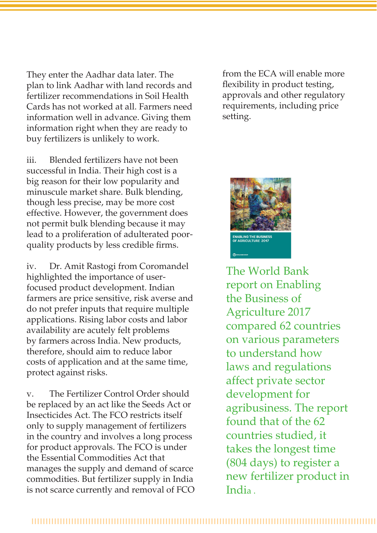They enter the Aadhar data later. The plan to link Aadhar with land records and fertilizer recommendations in Soil Health Cards has not worked at all. Farmers need information well in advance. Giving them information right when they are ready to buy fertilizers is unlikely to work.

iii. Blended fertilizers have not been successful in India. Their high cost is a big reason for their low popularity and minuscule market share. Bulk blending, though less precise, may be more cost effective. However, the government does not permit bulk blending because it may lead to a proliferation of adulterated poorquality products by less credible firms.

iv. Dr. Amit Rastogi from Coromandel highlighted the importance of userfocused product development. Indian farmers are price sensitive, risk averse and do not prefer inputs that require multiple applications. Rising labor costs and labor availability are acutely felt problems by farmers across India. New products, therefore, should aim to reduce labor costs of application and at the same time, protect against risks.

v. The Fertilizer Control Order should be replaced by an act like the Seeds Act or Insecticides Act. The FCO restricts itself only to supply management of fertilizers in the country and involves a long process for product approvals. The FCO is under the Essential Commodities Act that manages the supply and demand of scarce commodities. But fertilizer supply in India is not scarce currently and removal of FCO from the ECA will enable more flexibility in product testing, approvals and other regulatory requirements, including price setting.



The World Bank report on Enabling the Business of Agriculture 2017 compared 62 countries on various parameters to understand how laws and regulations affect private sector development for agribusiness. The report found that of the 62 countries studied, it takes the longest time (804 days) to register a new fertilizer product in India .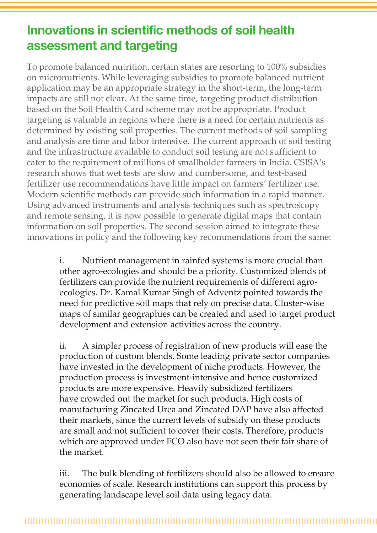# **Innovations in scientific methods of soil health assessment and targeting**

To promote balanced nutrition, certain states are resorting to 100% subsidies on micronutrients. While leveraging subsidies to promote balanced nutrient application may be an appropriate strategy in the short-term, the long-term impacts are still not clear. At the same time, targeting product distribution based on the Soil Health Card scheme may not be appropriate. Product targeting is valuable in regions where there is a need for certain nutrients as determined by existing soil properties. The current methods of soil sampling and analysis are time and labor intensive. The current approach of soil testing and the infrastructure available to conduct soil testing are not sufficient to cater to the requirement of millions of smallholder farmers in India. CSISA's research shows that wet tests are slow and cumbersome, and test-based fertilizer use recommendations have little impact on farmers' fertilizer use. Modern scientific methods can provide such information in a rapid manner. Using advanced instruments and analysis techniques such as spectroscopy and remote sensing, it is now possible to generate digital maps that contain information on soil properties. The second session aimed to integrate these innovations in policy and the following key recommendations from the same:

> i. Nutrient management in rainfed systems is more crucial than other agro-ecologies and should be a priority. Customized blends of fertilizers can provide the nutrient requirements of different agroecologies. Dr. Kamal Kumar Singh of Adventz pointed towards the need for predictive soil maps that rely on precise data. Cluster-wise maps of similar geographies can be created and used to target product development and extension activities across the country.

ii. A simpler process of registration of new products will ease the production of custom blends. Some leading private sector companies have invested in the development of niche products. However, the production process is investment-intensive and hence customized products are more expensive. Heavily subsidized fertilizers have crowded out the market for such products. High costs of manufacturing Zincated Urea and Zincated DAP have also affected their markets, since the current levels of subsidy on these products are small and not sufficient to cover their costs. Therefore, products which are approved under FCO also have not seen their fair share of the market.

iii. The bulk blending of fertilizers should also be allowed to ensure economies of scale. Research institutions can support this process by generating landscape level soil data using legacy data.